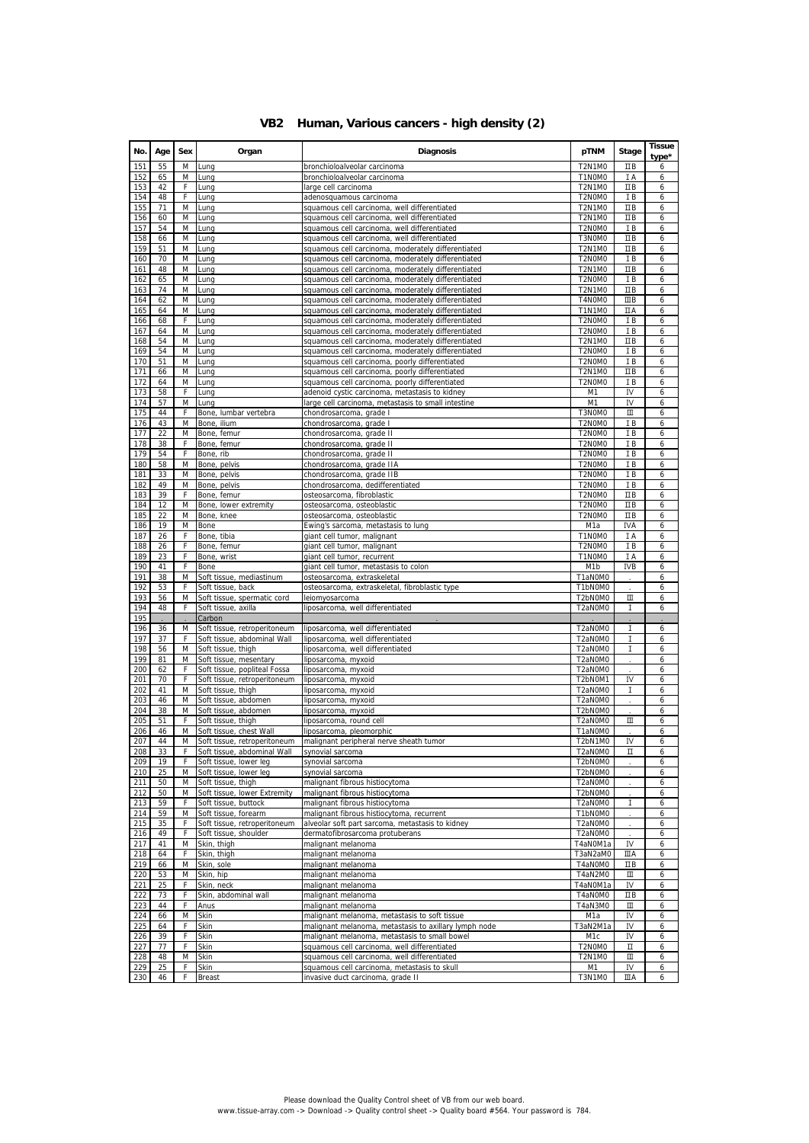|  |  | VB2 Human, Various cancers - high density (2) |  |  |  |
|--|--|-----------------------------------------------|--|--|--|
|--|--|-----------------------------------------------|--|--|--|

| No.        | Age      | Sex    | Organ                                             | <b>Diagnosis</b>                                                                                         | pTNM                    | Stage          | <b>Tissue</b><br>type* |
|------------|----------|--------|---------------------------------------------------|----------------------------------------------------------------------------------------------------------|-------------------------|----------------|------------------------|
| 151        | 55       | M      | Lung                                              | bronchioloalveolar carcinoma                                                                             | <b>T2N1M0</b><br>T1N0M0 | ΠB             |                        |
| 152<br>153 | 65<br>42 | M<br>F | Lung<br>Lung                                      | bronchioloalveolar carcinoma<br>large cell carcinoma                                                     | <b>T2N1M0</b>           | ΙA<br>$\Box B$ | 6<br>6                 |
| 154        | 48       | F      | Lung                                              | adenosquamous carcinoma                                                                                  | T2N0M0                  | ΙB             | 6                      |
| 155        | 71       | M      | Lung                                              | squamous cell carcinoma, well differentiated                                                             | <b>T2N1M0</b>           | $\Box B$       | 6                      |
| 156        | 60       | M      | Lung                                              | squamous cell carcinoma, well differentiated                                                             | <b>T2N1M0</b>           | ΠВ             | 6                      |
| 157<br>158 | 54<br>66 | M<br>M | Lung<br>Lung                                      | squamous cell carcinoma, well differentiated<br>squamous cell carcinoma, well differentiated             | T2N0M0<br>T3N0M0        | IB<br>ΠB       | 6<br>6                 |
| 159        | 51       | М      | Lung                                              | squamous cell carcinoma, moderately differentiated                                                       | <b>T2N1M0</b>           | ΠB             | 6                      |
| 160        | 70       | М      | Lung                                              | squamous cell carcinoma, moderately differentiated                                                       | T2N0M0                  | ΙB             | 6                      |
| 161        | 48       | М      | Lung                                              | squamous cell carcinoma, moderately differentiated                                                       | <b>T2N1M0</b>           | ΠB             | 6                      |
| 162        | 65       | Μ      | Lung                                              | squamous cell carcinoma, moderately differentiated                                                       | T2N0M0                  | ΙB             | 6                      |
| 163<br>164 | 74<br>62 | М<br>М | Lung<br>Lung                                      | squamous cell carcinoma, moderately differentiated<br>squamous cell carcinoma, moderately differentiated | <b>T2N1M0</b><br>T4N0M0 | ΠB<br>$\Box$ B | 6<br>6                 |
| 165        | 64       | М      | Lung                                              | squamous cell carcinoma, moderately differentiated                                                       | <b>T1N1M0</b>           | ΠA             | 6                      |
| 166        | 68       | F      | Lung                                              | squamous cell carcinoma, moderately differentiated                                                       | T2N0M0                  | ΙB             | 6                      |
| 167        | 64       | M      | Lung                                              | squamous cell carcinoma, moderately differentiated                                                       | T2N0M0                  | ΙB             | 6                      |
| 168        | 54       | M      | Lung                                              | squamous cell carcinoma, moderately differentiated                                                       | <b>T2N1M0</b>           | $\Box B$       | 6                      |
| 169        | 54       | Μ      | Lung                                              | squamous cell carcinoma, moderately differentiated                                                       | T2N0M0                  | ΙB             | 6                      |
| 170<br>171 | 51<br>66 | Μ<br>М | Lung<br>Lung                                      | squamous cell carcinoma, poorly differentiated<br>squamous cell carcinoma, poorly differentiated         | T2N0M0<br><b>T2N1M0</b> | ΙB<br>ΠB       | 6<br>6                 |
| 172        | 64       | M      | Lung                                              | squamous cell carcinoma, poorly differentiated                                                           | T2N0M0                  | IB             | 6                      |
| 173        | 58       | F      | Lung                                              | adenoid cystic carcinoma, metastasis to kidney                                                           | M <sub>1</sub>          | IV             | 6                      |
| 174        | 57       | M      | Lung                                              | large cell carcinoma, metastasis to small intestine                                                      | M1                      | IV             | 6                      |
| 175        | 44       | F      | Bone, lumbar vertebra                             | chondrosarcoma, grade I                                                                                  | T3N0M0                  | Ш              | 6                      |
| 176        | 43       | M      | Bone, ilium                                       | chondrosarcoma, grade I                                                                                  | T2N0M0                  | ΙB             | 6                      |
| 177<br>178 | 22<br>38 | M<br>F | Bone, femur<br>Bone, femur                        | chondrosarcoma, grade II<br>chondrosarcoma, grade II                                                     | T2N0M0<br>T2N0M0        | ΙB<br>IB       | 6<br>6                 |
| 179        | 54       | F      | Bone, rib                                         | chondrosarcoma, grade II                                                                                 | T2N0M0                  | ΙB             | 6                      |
| 180        | 58       | M      | Bone, pelvis                                      | chondrosarcoma, grade IIA                                                                                | T2N0M0                  | IB             | 6                      |
| 181        | 33       | M      | Bone, pelvis                                      | chondrosarcoma, grade IIB                                                                                | T2N0M0                  | ΙB             | 6                      |
| 182        | 49       | М      | Bone, pelvis                                      | chondrosarcoma, dedifferentiated                                                                         | T2N0M0                  | IB             | 6                      |
| 183        | 39       | F      | Bone, femur                                       | osteosarcoma, fibroblastic                                                                               | T2N0M0                  | ΠB             | 6                      |
| 184<br>185 | 12<br>22 | Μ<br>Μ | Bone, lower extremity<br>Bone, knee               | osteosarcoma, osteoblastic<br>osteosarcoma, osteoblastic                                                 | T2N0M0<br>T2N0M0        | ΠB<br>ΠB       | 6<br>6                 |
| 186        | 19       | Μ      | Bone                                              | Ewing's sarcoma, metastasis to lung                                                                      | M1a                     | IVA            | 6                      |
| 187        | 26       | F.     | Bone, tibia                                       | giant cell tumor, malignant                                                                              | T1N0M0                  | ΙA             | 6                      |
| 188        | 26       | F      | Bone, femur                                       | giant cell tumor, malignant                                                                              | T2N0M0                  | ΙB             | 6                      |
| 189        | 23       | F      | Bone, wrist                                       | giant cell tumor, recurrent                                                                              | T1N0M0                  | ΙA             | 6                      |
| 190        | 41       | F      | Bone                                              | giant cell tumor, metastasis to colon                                                                    | M <sub>1</sub> b        | <b>IVB</b>     | 6                      |
| 191<br>192 | 38<br>53 | M<br>F | Soft tissue, mediastinum<br>Soft tissue, back     | osteosarcoma, extraskeletal<br>osteosarcoma, extraskeletal, fibroblastic type                            | T1aN0M0<br>T1bN0M0      |                | 6<br>6                 |
| 193        | 56       | M      | Soft tissue, spermatic cord                       | leiomyosarcoma                                                                                           | T2bN0M0                 | Ш              | 6                      |
| 194        | 48       | F      | Soft tissue, axilla                               | liposarcoma, well differentiated                                                                         | T2aN0M0                 | I              | 6                      |
| 195        |          |        | Carbon                                            |                                                                                                          |                         |                |                        |
| 196        | 36       | M      | Soft tissue, retroperitoneum                      | liposarcoma, well differentiated                                                                         | T2aN0M0                 | Τ              | 6                      |
| 197<br>198 | 37<br>56 | F<br>М | Soft tissue, abdominal Wall<br>Soft tissue, thigh | liposarcoma, well differentiated<br>liposarcoma, well differentiated                                     | T2aN0M0<br>T2aN0M0      | I<br>Ι         | 6<br>6                 |
| 199        | 81       | M      | Soft tissue, mesentary                            | liposarcoma, myxoid                                                                                      | T2aN0M0                 |                | 6                      |
| 200        | 62       | F      | Soft tissue, popliteal Fossa                      | liposarcoma, myxoid                                                                                      | T2aN0M0                 |                | 6                      |
| 201        | 70       | F      | Soft tissue, retroperitoneum                      | liposarcoma, myxoid                                                                                      | T2bN0M1                 | IV             | 6                      |
| 202        | 41       | M      | Soft tissue, thigh                                | liposarcoma, myxoid                                                                                      | T2aN0M0                 | I              | 6                      |
| 203        | 46       | M      | Soft tissue, abdomen                              | liposarcoma, myxoid                                                                                      | T2aN0M0                 |                | 6                      |
| 204<br>205 | 38<br>51 | M<br>F | Soft tissue, abdomen<br>Soft tissue, thigh        | liposarcoma, myxoid<br>liposarcoma, round cell                                                           | T2bN0M0<br>T2aN0M0      | Ш              | 6<br>6                 |
| 206        | 46       | M      | Soft tissue, chest Wall                           | liposarcoma, pleomorphic                                                                                 | T1aN0M0                 |                | 6                      |
| 207        | 44       | Μ      | Soft tissue, retroperitoneum                      | malignant peripheral nerve sheath tumor                                                                  | T2bN1M0                 | IV             | 6                      |
| 208        | 33       |        | Soft tissue, abdominal Wall                       | synovial sarcoma                                                                                         | T2aN0M0                 | П              | 6                      |
| 209        | 19       | F.     | Soft tissue, lower leg                            | synovial sarcoma                                                                                         | T2bN0M0                 |                | 6                      |
| 210<br>211 | 25<br>50 | М<br>M | Soft tissue, lower leg<br>Soft tissue, thigh      | synovial sarcoma<br>malignant fibrous histiocytoma                                                       | T2bN0M0<br>T2aN0M0      |                | 6<br>6                 |
| 212        | 50       | Μ      | Soft tissue, lower Extremity                      | malignant fibrous histiocytoma                                                                           | T2bN0M0                 |                | 6                      |
| 213        | 59       | F      | Soft tissue, buttock                              | malignant fibrous histiocytoma                                                                           | T2aN0M0                 | Ι              | 6                      |
| 214        | 59       | М      | Soft tissue, forearm                              | malignant fibrous histiocytoma, recurrent                                                                | T1bN0M0                 |                | 6                      |
| 215        | 35       | F      | Soft tissue, retroperitoneum                      | alveolar soft part sarcoma, metastasis to kidney                                                         | T2aN0M0                 |                | 6                      |
| 216<br>217 | 49<br>41 | F<br>Μ | Soft tissue, shoulder<br>Skin, thigh              | dermatofibrosarcoma protuberans<br>malignant melanoma                                                    | T2aN0M0<br>T4aN0M1a     | IV             | 6<br>6                 |
| 218        | 64       | F      | Skin, thigh                                       | malignant melanoma                                                                                       | T3aN2aM0                | ШA             | 6                      |
| 219        | 66       | Μ      | Skin, sole                                        | malignant melanoma                                                                                       | T4aN0M0                 | ΠВ             | 6                      |
| 220        | 53       | Μ      | Skin, hip                                         | malignant melanoma                                                                                       | T4aN2M0                 | Ш              | 6                      |
| 221        | 25       | F      | Skin, neck                                        | malignant melanoma                                                                                       | T4aN0M1a                | IV             | 6                      |
| 222        | 73       | F      | Skin, abdominal wall                              | malignant melanoma                                                                                       | T4aN0M0                 | ΠB             | 6                      |
| 223<br>224 | 44<br>66 | F<br>Μ | Anus<br>Skin                                      | malignant melanoma<br>malignant melanoma, metastasis to soft tissue                                      | T4aN3M0<br>M1a          | Ш<br>IV        | 6<br>6                 |
| 225        | 64       | F      | Skin                                              | malignant melanoma, metastasis to axillary lymph node                                                    | T3aN2M1a                | IV             | 6                      |
| 226        | 39       | F      | Skin                                              | malignant melanoma, metastasis to small bowel                                                            | M1c                     | IV             | 6                      |
| 227        | 77       | F      | Skin                                              | squamous cell carcinoma, well differentiated                                                             | T2N0M0                  | П              | 6                      |
| 228        | 48       | M      | Skin                                              | squamous cell carcinoma, well differentiated                                                             | <b>T2N1M0</b>           | Ш              | 6                      |
| 229        | 25       | F<br>F | Skin                                              | squamous cell carcinoma, metastasis to skull                                                             | M1                      | IV             | 6                      |
| 230        | 46       |        | <b>Breast</b>                                     | invasive duct carcinoma, grade II                                                                        | <b>T3N1M0</b>           | ШA             | 6                      |